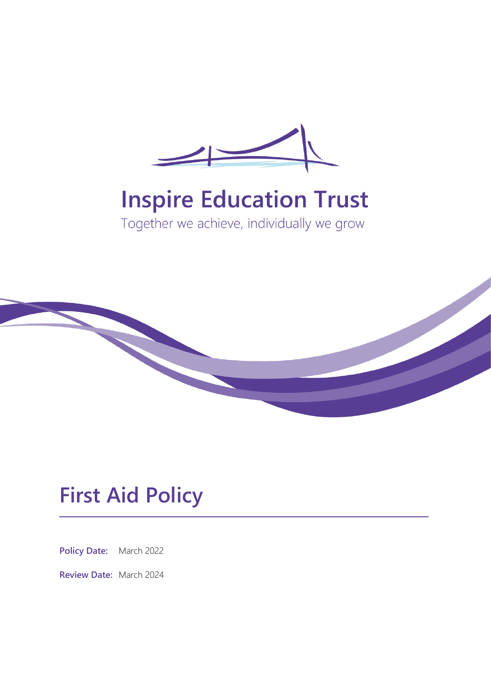

# **Inspire Education Trust**

Together we achieve, individually we grow



## **First Aid Policy**

**Policy Date:** March 2022

**Review Date:** March 2024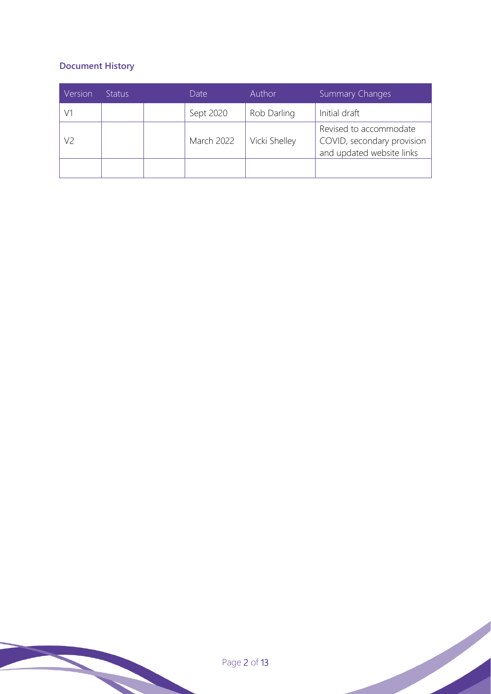## **Document History**

| Version | <b>Status</b> | Date              | Author        | <b>Summary Changes</b>                                                            |
|---------|---------------|-------------------|---------------|-----------------------------------------------------------------------------------|
|         |               | Sept 2020         | Rob Darling   | Initial draft                                                                     |
| V2      |               | <b>March 2022</b> | Vicki Shelley | Revised to accommodate<br>COVID, secondary provision<br>and updated website links |
|         |               |                   |               |                                                                                   |

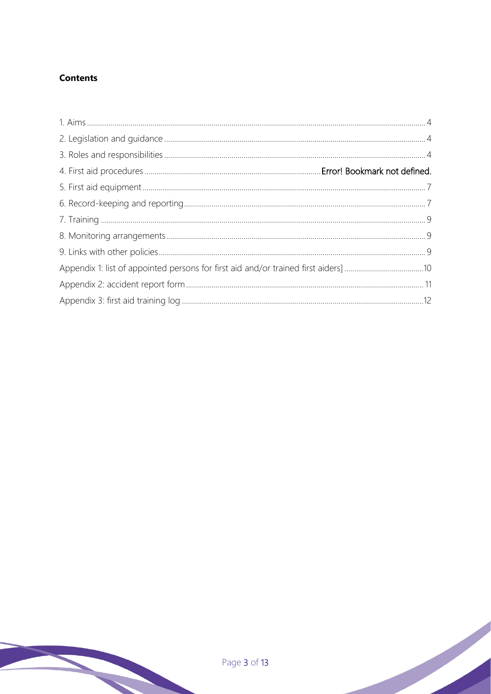#### **Contents**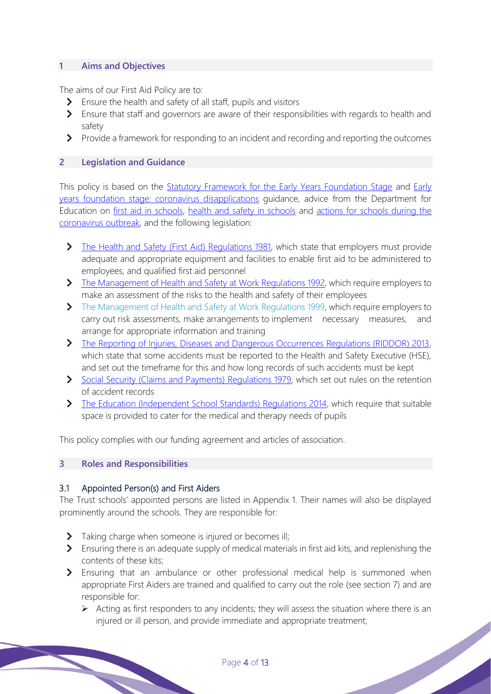#### **1 Aims and Objectives**

The aims of our First Aid Policy are to:

- S Ensure the health and safety of all staff, pupils and visitors
- Ensure that staff and governors are aware of their responsibilities with regards to health and safety
- Provide a framework for responding to an incident and recording and reporting the outcomes

#### **2 Legislation and Guidance**

This policy is based on the Statutory Framework for the Early Years Foundation Stage and Early years foundation stage: coronavirus disapplications guidance, advice from the Department for Education on first aid in schools, health and safety in schools and actions for schools during the coronavirus outbreak, and the following legislation:

- The Health and Safety (First Aid) Regulations 1981, which state that employers must provide adequate and appropriate equipment and facilities to enable first aid to be administered to employees, and qualified first aid personnel
- The Management of Health and Safety at Work Regulations 1992, which require employers to make an assessment of the risks to the health and safety of their employees
- The Management of Health and Safety at Work Regulations 1999, which require employers to carry out risk assessments, make arrangements to implement necessary measures, and arrange for appropriate information and training
- The Reporting of Injuries, Diseases and Dangerous Occurrences Regulations (RIDDOR) 2013, which state that some accidents must be reported to the Health and Safety Executive (HSE), and set out the timeframe for this and how long records of such accidents must be kept
- Social Security (Claims and Payments) Regulations 1979, which set out rules on the retention of accident records
- The Education (Independent School Standards) Regulations 2014, which require that suitable space is provided to cater for the medical and therapy needs of pupils

This policy complies with our funding agreement and articles of association.

#### <span id="page-3-0"></span>**3 Roles and Responsibilities**

#### 3.1 Appointed Person(s) and First Aiders

The Trust schools' appointed persons are listed in Appendix 1. Their names will also be displayed prominently around the schools. They are responsible for:

- Taking charge when someone is injured or becomes ill;
- S Ensuring there is an adequate supply of medical materials in first aid kits, and replenishing the contents of these kits;
- Ensuring that an ambulance or other professional medical help is summoned when appropriate First Aiders are trained and qualified to carry out the role (see section 7) and are responsible for:
	- $\triangleright$  Acting as first responders to any incidents; they will assess the situation where there is an injured or ill person, and provide immediate and appropriate treatment;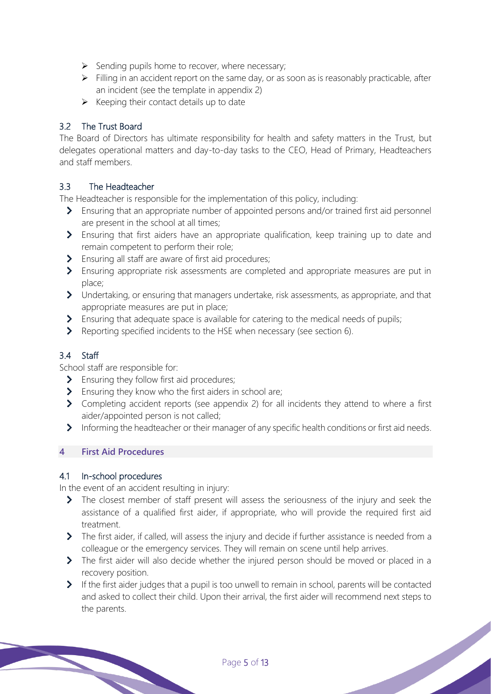- $\triangleright$  Sending pupils home to recover, where necessary;
- $\triangleright$  Filling in an accident report on the same day, or as soon as is reasonably practicable, after an incident (see the template in appendix 2)
- $\triangleright$  Keeping their contact details up to date

#### 3.2 The Trust Board

The Board of Directors has ultimate responsibility for health and safety matters in the Trust, but delegates operational matters and day-to-day tasks to the CEO, Head of Primary, Headteachers and staff members.

#### 3.3 The Headteacher

The Headteacher is responsible for the implementation of this policy, including:

- Ensuring that an appropriate number of appointed persons and/or trained first aid personnel are present in the school at all times;
- Ensuring that first aiders have an appropriate qualification, keep training up to date and remain competent to perform their role;
- S Ensuring all staff are aware of first aid procedures;
- Ensuring appropriate risk assessments are completed and appropriate measures are put in place;
- Undertaking, or ensuring that managers undertake, risk assessments, as appropriate, and that appropriate measures are put in place;
- S Ensuring that adequate space is available for catering to the medical needs of pupils;
- Reporting specified incidents to the HSE when necessary (see section 6).

#### 3.4 Staff

School staff are responsible for:

- > Ensuring they follow first aid procedures;
- S Ensuring they know who the first aiders in school are;
- Completing accident reports (see appendix 2) for all incidents they attend to where a first aider/appointed person is not called;
- Informing the headteacher or their manager of any specific health conditions or first aid needs.

#### **4 First Aid Procedures**

#### 4.1 In-school procedures

In the event of an accident resulting in injury:

- The closest member of staff present will assess the seriousness of the injury and seek the assistance of a qualified first aider, if appropriate, who will provide the required first aid treatment.
- The first aider, if called, will assess the injury and decide if further assistance is needed from a colleague or the emergency services. They will remain on scene until help arrives.
- > The first aider will also decide whether the injured person should be moved or placed in a recovery position.
- If the first aider judges that a pupil is too unwell to remain in school, parents will be contacted and asked to collect their child. Upon their arrival, the first aider will recommend next steps to the parents.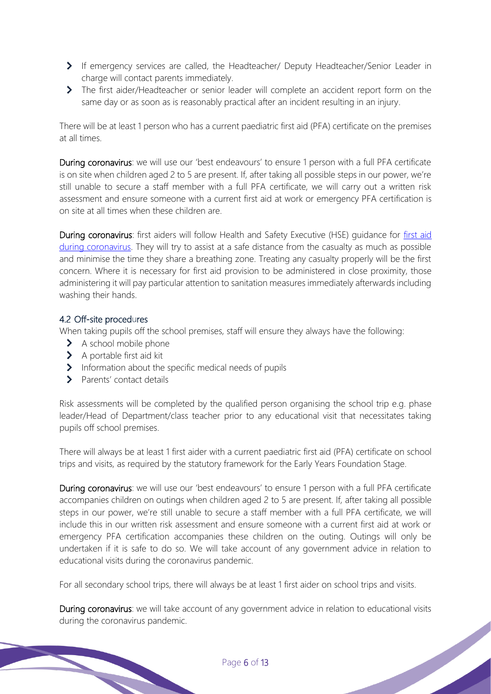- If emergency services are called, the Headteacher/ Deputy Headteacher/Senior Leader in charge will contact parents immediately.
- The first aider/Headteacher or senior leader will complete an accident report form on the same day or as soon as is reasonably practical after an incident resulting in an injury.

There will be at least 1 person who has a current paediatric first aid (PFA) certificate on the premises at all times.

During coronavirus: we will use our 'best endeavours' to ensure 1 person with a full PFA certificate is on site when children aged 2 to 5 are present. If, after taking all possible steps in our power, we're still unable to secure a staff member with a full PFA certificate, we will carry out a written risk assessment and ensure someone with a current first aid at work or emergency PFA certification is on site at all times when these children are.

During coronavirus: first aiders will follow Health and Safety Executive (HSE) guidance for first aid during coronavirus. They will try to assist at a safe distance from the casualty as much as possible and minimise the time they share a breathing zone. Treating any casualty properly will be the first concern. Where it is necessary for first aid provision to be administered in close proximity, those administering it will pay particular attention to sanitation measures immediately afterwards including washing their hands.

#### 4.2 Off-site procedures

When taking pupils off the school premises, staff will ensure they always have the following:

- > A school mobile phone
- > A portable first aid kit
- $\blacktriangleright$  Information about the specific medical needs of pupils
- > Parents' contact details

Risk assessments will be completed by the qualified person organising the school trip e.g. phase leader/Head of Department/class teacher prior to any educational visit that necessitates taking pupils off school premises.

There will always be at least 1 first aider with a current paediatric first aid (PFA) certificate on school trips and visits, as required by the statutory framework for the Early Years Foundation Stage.

During coronavirus: we will use our 'best endeavours' to ensure 1 person with a full PFA certificate accompanies children on outings when children aged 2 to 5 are present. If, after taking all possible steps in our power, we're still unable to secure a staff member with a full PFA certificate, we will include this in our written risk assessment and ensure someone with a current first aid at work or emergency PFA certification accompanies these children on the outing. Outings will only be undertaken if it is safe to do so. We will take account of any government advice in relation to educational visits during the coronavirus pandemic.

For all secondary school trips, there will always be at least 1 first aider on school trips and visits.

During coronavirus: we will take account of any government advice in relation to educational visits during the coronavirus pandemic.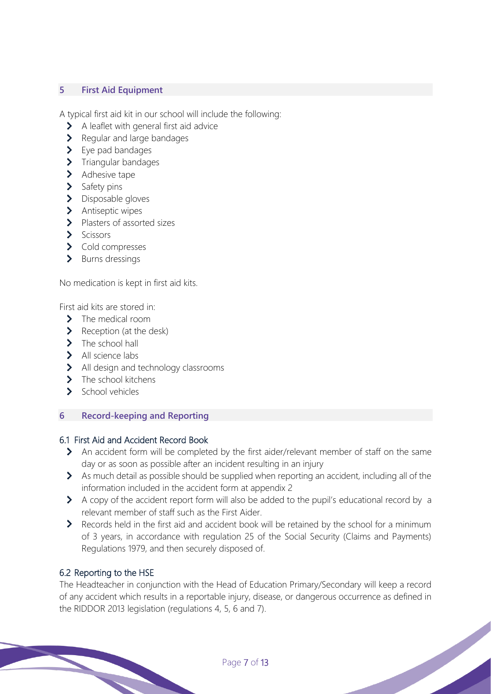#### **5 First Aid Equipment**

A typical first aid kit in our school will include the following:

- > A leaflet with general first aid advice
- > Regular and large bandages
- $\blacktriangleright$  Eve pad bandages
- $\blacktriangleright$  Triangular bandages
- > Adhesive tape
- > Safety pins
- > Disposable gloves
- > Antiseptic wipes
- > Plasters of assorted sizes
- > Scissors
- > Cold compresses
- > Burns dressings

No medication is kept in first aid kits.

First aid kits are stored in:

- > The medical room
- $\blacktriangleright$  Reception (at the desk)
- $\blacktriangleright$  The school hall
- > All science labs
- > All design and technology classrooms
- $\sum$  The school kitchens
- $\sum$  School vehicles

#### **6 Record-keeping and Reporting**

#### 6.1 First Aid and Accident Record Book

- An accident form will be completed by the first aider/relevant member of staff on the same day or as soon as possible after an incident resulting in an injury
- As much detail as possible should be supplied when reporting an accident, including all of the information included in the accident form at appendix 2
- A copy of the accident report form will also be added to the pupil's educational record by a relevant member of staff such as the First Aider.
- Records held in the first aid and accident book will be retained by the school for a minimum of 3 years, in accordance with regulation 25 of the Social Security (Claims and Payments) Regulations 1979, and then securely disposed of.

#### 6.2 Reporting to the HSE

The Headteacher in conjunction with the Head of Education Primary/Secondary will keep a record of any accident which results in a reportable injury, disease, or dangerous occurrence as defined in the RIDDOR 2013 legislation (regulations 4, 5, 6 and 7).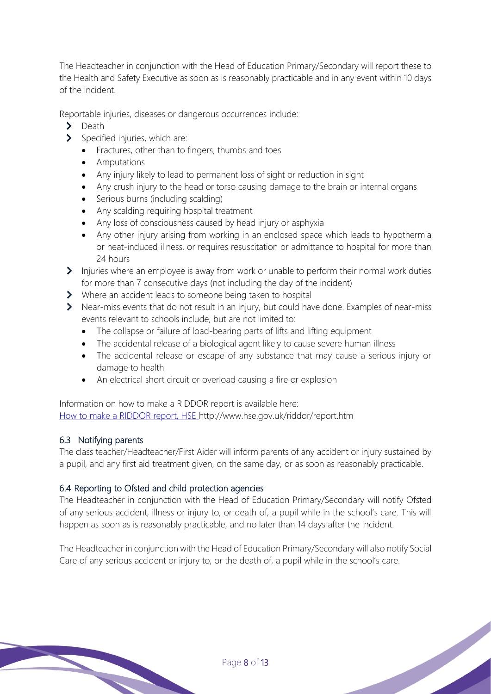The Headteacher in conjunction with the Head of Education Primary/Secondary will report these to the Health and Safety Executive as soon as is reasonably practicable and in any event within 10 days of the incident.

Reportable injuries, diseases or dangerous occurrences include:

- $\sum$ Death
	- Specified injuries, which are:
		- Fractures, other than to fingers, thumbs and toes
		- Amputations
		- Any injury likely to lead to permanent loss of sight or reduction in sight
		- Any crush injury to the head or torso causing damage to the brain or internal organs
		- Serious burns (including scalding)
		- Any scalding requiring hospital treatment
		- Any loss of consciousness caused by head injury or asphyxia
		- Any other injury arising from working in an enclosed space which leads to hypothermia or heat-induced illness, or requires resuscitation or admittance to hospital for more than 24 hours
- Injuries where an employee is away from work or unable to perform their normal work duties for more than 7 consecutive days (not including the day of the incident)
- Where an accident leads to someone being taken to hospital
- Near-miss events that do not result in an injury, but could have done. Examples of near-miss events relevant to schools include, but are not limited to:
	- The collapse or failure of load-bearing parts of lifts and lifting equipment
	- The accidental release of a biological agent likely to cause severe human illness
	- The accidental release or escape of any substance that may cause a serious injury or damage to health
	- An electrical short circuit or overload causing a fire or explosion

Information on how to make a RIDDOR report is available here: How to make a RIDDOR report, HSE http://www.hse.gov.uk/riddor/report.htm

#### 6.3 Notifying parents

The class teacher/Headteacher/First Aider will inform parents of any accident or injury sustained by a pupil, and any first aid treatment given, on the same day, or as soon as reasonably practicable.

#### 6.4 Reporting to Ofsted and child protection agencies

The Headteacher in conjunction with the Head of Education Primary/Secondary will notify Ofsted of any serious accident, illness or injury to, or death of, a pupil while in the school's care. This will happen as soon as is reasonably practicable, and no later than 14 days after the incident.

The Headteacher in conjunction with the Head of Education Primary/Secondary will also notify Social Care of any serious accident or injury to, or the death of, a pupil while in the school's care.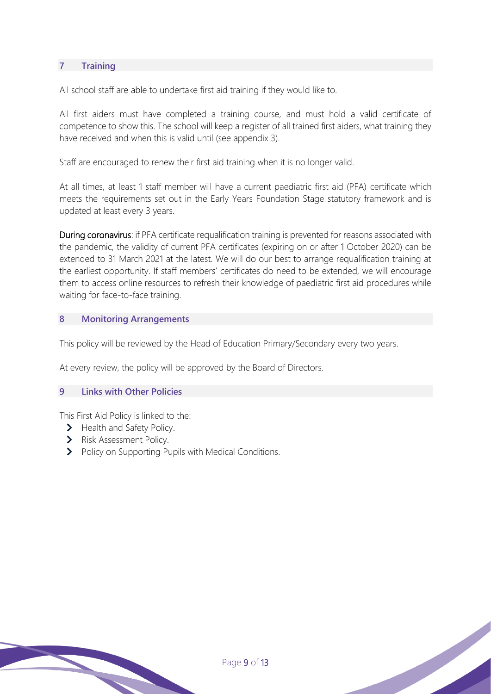#### **7 Training**

All school staff are able to undertake first aid training if they would like to.

All first aiders must have completed a training course, and must hold a valid certificate of competence to show this. The school will keep a register of all trained first aiders, what training they have received and when this is valid until (see appendix 3).

Staff are encouraged to renew their first aid training when it is no longer valid.

At all times, at least 1 staff member will have a current paediatric first aid (PFA) certificate which meets the requirements set out in the Early Years Foundation Stage statutory framework and is updated at least every 3 years.

During coronavirus: if PFA certificate requalification training is prevented for reasons associated with the pandemic, the validity of current PFA certificates (expiring on or after 1 October 2020) can be extended to 31 March 2021 at the latest. We will do our best to arrange requalification training at the earliest opportunity. If staff members' certificates do need to be extended, we will encourage them to access online resources to refresh their knowledge of paediatric first aid procedures while waiting for face-to-face training.

#### **8 Monitoring Arrangements**

This policy will be reviewed by the Head of Education Primary/Secondary every two years.

Page 9 of 13

At every review, the policy will be approved by the Board of Directors.

#### **9 Links with Other Policies**

This First Aid Policy is linked to the:

- > Health and Safety Policy.
- > Risk Assessment Policy.
- > Policy on Supporting Pupils with Medical Conditions.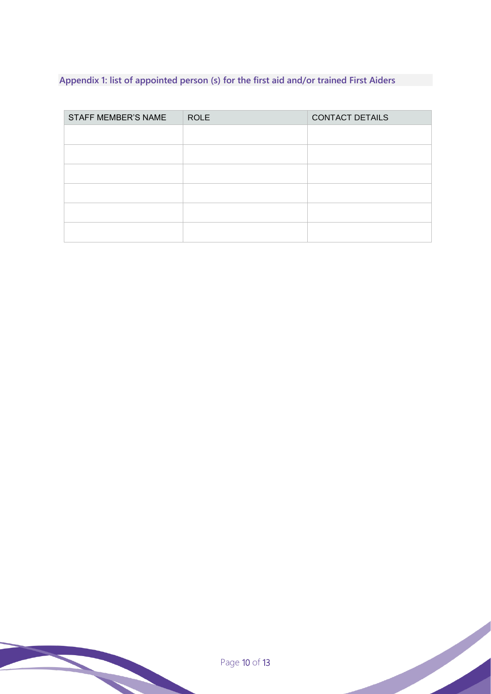## <span id="page-9-0"></span>**Appendix 1: list of appointed person (s) for the first aid and/or trained First Aiders**

| <b>STAFF MEMBER'S NAME</b> | <b>ROLE</b> | <b>CONTACT DETAILS</b> |
|----------------------------|-------------|------------------------|
|                            |             |                        |
|                            |             |                        |
|                            |             |                        |
|                            |             |                        |
|                            |             |                        |
|                            |             |                        |

<span id="page-9-1"></span>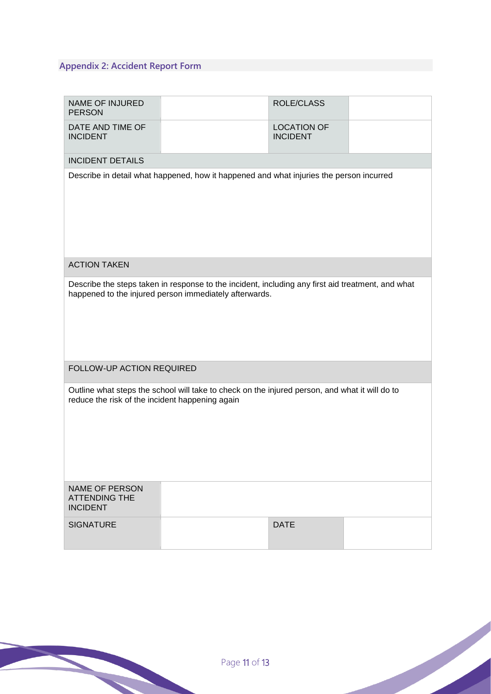## **Appendix 2: Accident Report Form**

| <b>NAME OF INJURED</b><br><b>PERSON</b>                                                                                                                     |  | <b>ROLE/CLASS</b>                     |  |  |  |
|-------------------------------------------------------------------------------------------------------------------------------------------------------------|--|---------------------------------------|--|--|--|
| DATE AND TIME OF<br><b>INCIDENT</b>                                                                                                                         |  | <b>LOCATION OF</b><br><b>INCIDENT</b> |  |  |  |
| <b>INCIDENT DETAILS</b>                                                                                                                                     |  |                                       |  |  |  |
| Describe in detail what happened, how it happened and what injuries the person incurred                                                                     |  |                                       |  |  |  |
| <b>ACTION TAKEN</b>                                                                                                                                         |  |                                       |  |  |  |
| Describe the steps taken in response to the incident, including any first aid treatment, and what<br>happened to the injured person immediately afterwards. |  |                                       |  |  |  |
| FOLLOW-UP ACTION REQUIRED                                                                                                                                   |  |                                       |  |  |  |
| Outline what steps the school will take to check on the injured person, and what it will do to<br>reduce the risk of the incident happening again           |  |                                       |  |  |  |
| <b>NAME OF PERSON</b><br><b>ATTENDING THE</b><br><b>INCIDENT</b>                                                                                            |  |                                       |  |  |  |
| <b>SIGNATURE</b>                                                                                                                                            |  | <b>DATE</b>                           |  |  |  |

<span id="page-10-0"></span>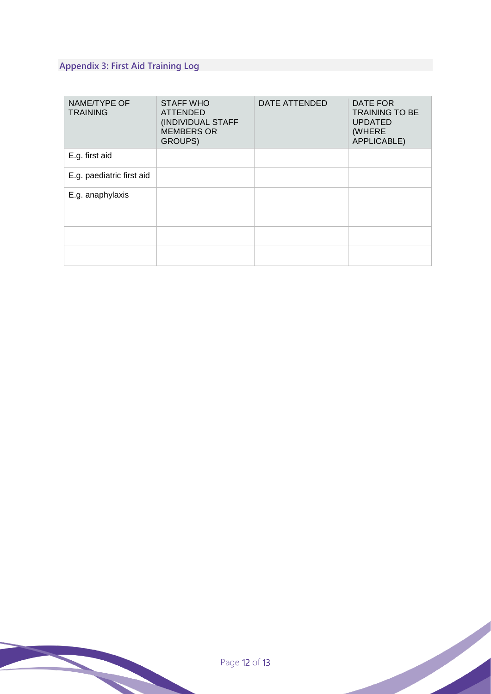## **Appendix 3: First Aid Training Log**

| NAME/TYPE OF<br><b>TRAINING</b> | <b>STAFF WHO</b><br><b>ATTENDED</b><br>(INDIVIDUAL STAFF<br><b>MEMBERS OR</b><br>GROUPS) | <b>DATE ATTENDED</b> | DATE FOR<br><b>TRAINING TO BE</b><br><b>UPDATED</b><br>(WHERE<br>APPLICABLE) |
|---------------------------------|------------------------------------------------------------------------------------------|----------------------|------------------------------------------------------------------------------|
| E.g. first aid                  |                                                                                          |                      |                                                                              |
| E.g. paediatric first aid       |                                                                                          |                      |                                                                              |
| E.g. anaphylaxis                |                                                                                          |                      |                                                                              |
|                                 |                                                                                          |                      |                                                                              |
|                                 |                                                                                          |                      |                                                                              |
|                                 |                                                                                          |                      |                                                                              |